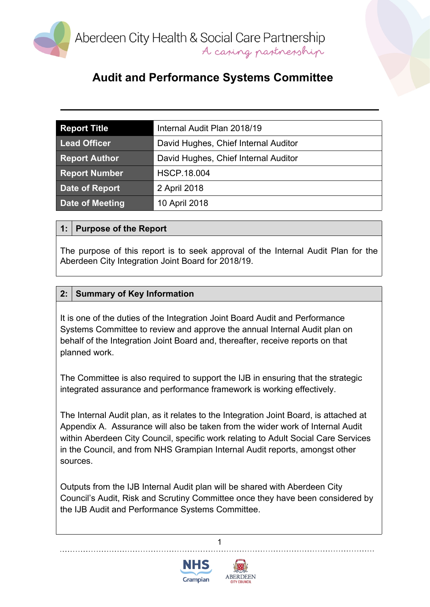

| <b>Report Title</b>  | Internal Audit Plan 2018/19          |  |  |
|----------------------|--------------------------------------|--|--|
| <b>Lead Officer</b>  | David Hughes, Chief Internal Auditor |  |  |
| <b>Report Author</b> | David Hughes, Chief Internal Auditor |  |  |
| <b>Report Number</b> | <b>HSCP.18.004</b>                   |  |  |
| Date of Report       | 2 April 2018                         |  |  |
| Date of Meeting      | 10 April 2018                        |  |  |

#### **1: Purpose of the Report**

The purpose of this report is to seek approval of the Internal Audit Plan for the Aberdeen City Integration Joint Board for 2018/19.

#### **2: Summary of Key Information**

It is one of the duties of the Integration Joint Board Audit and Performance Systems Committee to review and approve the annual Internal Audit plan on behalf of the Integration Joint Board and, thereafter, receive reports on that planned work.

The Committee is also required to support the IJB in ensuring that the strategic integrated assurance and performance framework is working effectively.

The Internal Audit plan, as it relates to the Integration Joint Board, is attached at Appendix A. Assurance will also be taken from the wider work of Internal Audit within Aberdeen City Council, specific work relating to Adult Social Care Services in the Council, and from NHS Grampian Internal Audit reports, amongst other sources.

Outputs from the IJB Internal Audit plan will be shared with Aberdeen City Council's Audit, Risk and Scrutiny Committee once they have been considered by the IJB Audit and Performance Systems Committee.

1



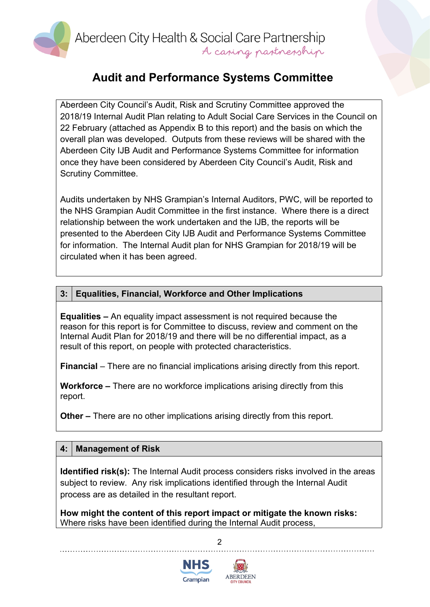

Aberdeen City Health & Social Care Partnership A casing pastnesship

## **Audit and Performance Systems Committee**

Aberdeen City Council's Audit, Risk and Scrutiny Committee approved the 2018/19 Internal Audit Plan relating to Adult Social Care Services in the Council on 22 February (attached as Appendix B to this report) and the basis on which the overall plan was developed. Outputs from these reviews will be shared with the Aberdeen City IJB Audit and Performance Systems Committee for information once they have been considered by Aberdeen City Council's Audit, Risk and Scrutiny Committee.

Audits undertaken by NHS Grampian's Internal Auditors, PWC, will be reported to the NHS Grampian Audit Committee in the first instance. Where there is a direct relationship between the work undertaken and the IJB, the reports will be presented to the Aberdeen City IJB Audit and Performance Systems Committee for information. The Internal Audit plan for NHS Grampian for 2018/19 will be circulated when it has been agreed.

#### **3: Equalities, Financial, Workforce and Other Implications**

**Equalities –** An equality impact assessment is not required because the reason for this report is for Committee to discuss, review and comment on the Internal Audit Plan for 2018/19 and there will be no differential impact, as a result of this report, on people with protected characteristics.

**Financial** – There are no financial implications arising directly from this report.

**Workforce –** There are no workforce implications arising directly from this report.

**Other –** There are no other implications arising directly from this report.

#### **4: Management of Risk**

**Identified risk(s):** The Internal Audit process considers risks involved in the areas subject to review. Any risk implications identified through the Internal Audit process are as detailed in the resultant report.

 $\mathfrak{p}$ 

**How might the content of this report impact or mitigate the known risks:** Where risks have been identified during the Internal Audit process,



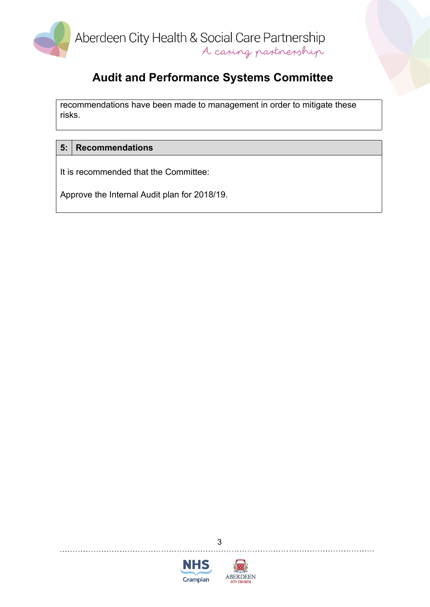

recommendations have been made to management in order to mitigate these risks.

#### **5: Recommendations**

It is recommended that the Committee:

Approve the Internal Audit plan for 2018/19.



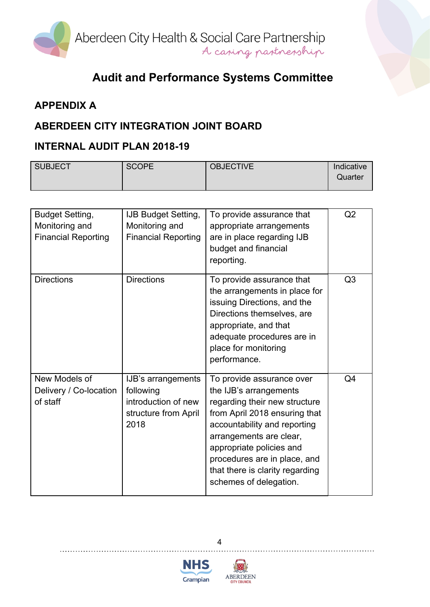

## **APPENDIX A**

## **ABERDEEN CITY INTEGRATION JOINT BOARD**

## **INTERNAL AUDIT PLAN 2018-19**

| SUBJECT | <b>SCOPE</b> | <b>OBJECTIVE</b> | Indicative |
|---------|--------------|------------------|------------|
|         |              |                  | Quarter    |
|         |              |                  |            |

| <b>Budget Setting,</b><br>Monitoring and<br><b>Financial Reporting</b> | <b>IJB Budget Setting,</b><br>Monitoring and<br><b>Financial Reporting</b>             | To provide assurance that<br>appropriate arrangements<br>are in place regarding IJB<br>budget and financial<br>reporting.                                                                                                                                                                                 | Q2             |
|------------------------------------------------------------------------|----------------------------------------------------------------------------------------|-----------------------------------------------------------------------------------------------------------------------------------------------------------------------------------------------------------------------------------------------------------------------------------------------------------|----------------|
| <b>Directions</b>                                                      | <b>Directions</b>                                                                      | To provide assurance that<br>the arrangements in place for<br>issuing Directions, and the<br>Directions themselves, are<br>appropriate, and that<br>adequate procedures are in<br>place for monitoring<br>performance.                                                                                    | Q3             |
| New Models of<br>Delivery / Co-location<br>of staff                    | IJB's arrangements<br>following<br>introduction of new<br>structure from April<br>2018 | To provide assurance over<br>the IJB's arrangements<br>regarding their new structure<br>from April 2018 ensuring that<br>accountability and reporting<br>arrangements are clear,<br>appropriate policies and<br>procedures are in place, and<br>that there is clarity regarding<br>schemes of delegation. | Q <sub>4</sub> |





4